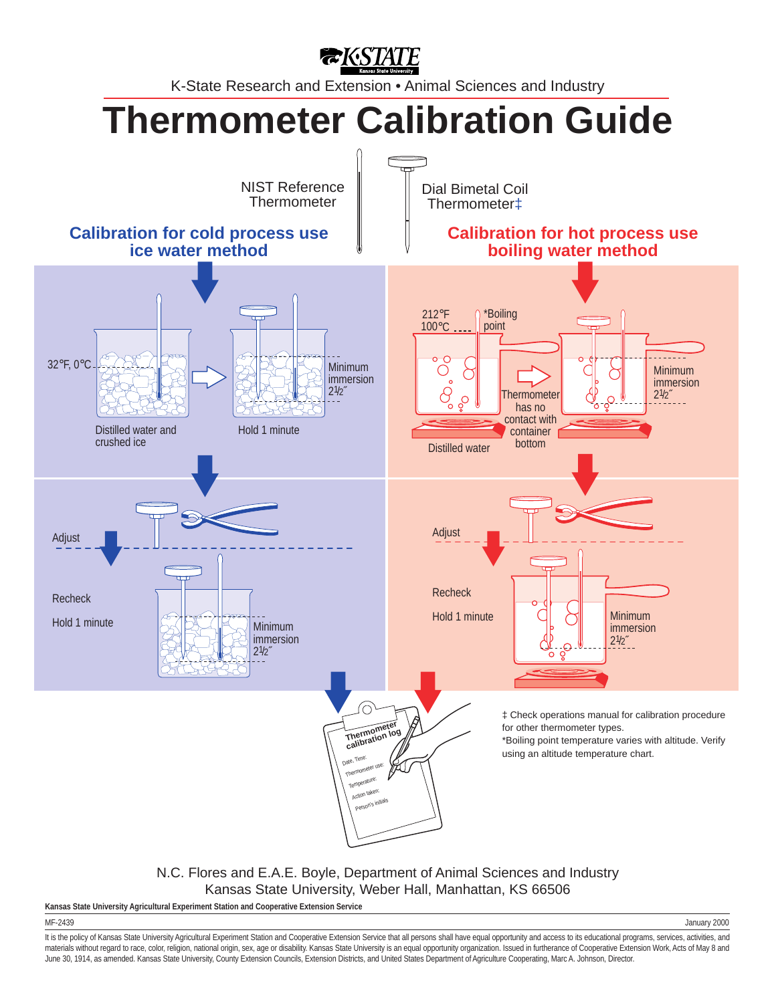K-State Research and Extension • Animal Sciences and Industry

**EKSTATE** 



N.C. Flores and E.A.E. Boyle, Department of Animal Sciences and Industry Kansas State University, Weber Hall, Manhattan, KS 66506

**Kansas State University Agricultural Experiment Station and Cooperative Extension Service**

MF-2439 January 2000

It is the policy of Kansas State University Agricultural Experiment Station and Cooperative Extension Service that all persons shall have equal opportunity and access to its educational programs, services, activities, and materials without regard to race, color, religion, national origin, sex, age or disability. Kansas State University is an equal opportunity organization. Issued in furtherance of Cooperative Extension Work, Acts of May 8 and June 30, 1914, as amended. Kansas State University, County Extension Councils, Extension Districts, and United States Department of Agriculture Cooperating, Marc A. Johnson, Director.